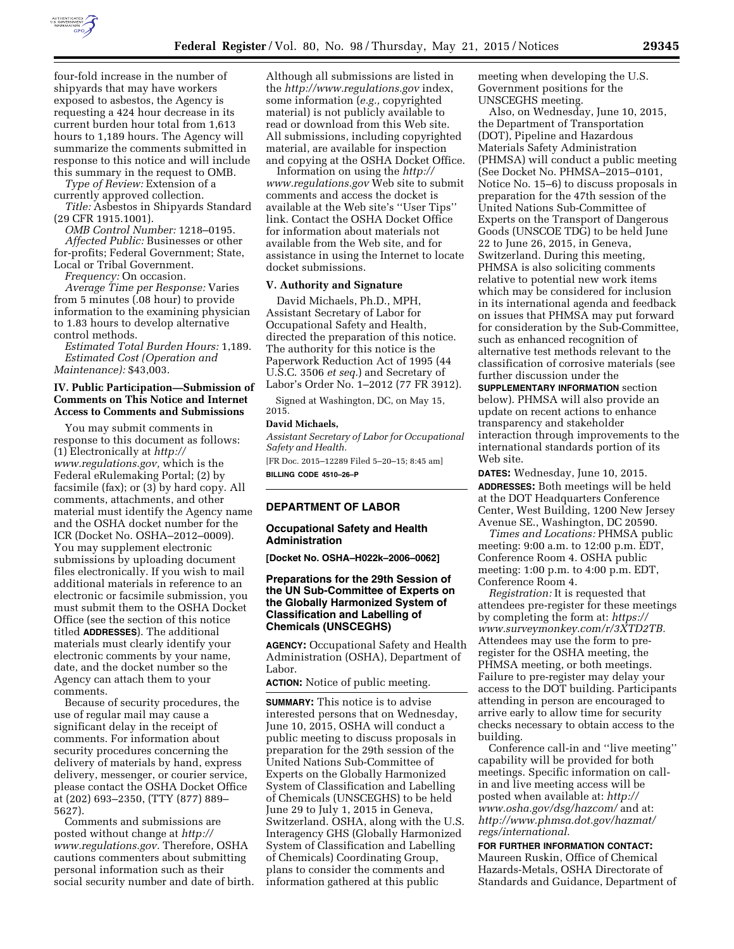

four-fold increase in the number of shipyards that may have workers exposed to asbestos, the Agency is requesting a 424 hour decrease in its current burden hour total from 1,613 hours to 1,189 hours. The Agency will summarize the comments submitted in response to this notice and will include this summary in the request to OMB.

*Type of Review:* Extension of a currently approved collection.

*Title:* Asbestos in Shipyards Standard (29 CFR 1915.1001).

*OMB Control Number:* 1218–0195. *Affected Public:* Businesses or other for-profits; Federal Government; State, Local or Tribal Government.

*Frequency:* On occasion.

*Average Time per Response:* Varies from 5 minutes (.08 hour) to provide information to the examining physician to 1.83 hours to develop alternative control methods.

*Estimated Total Burden Hours:* 1,189. *Estimated Cost (Operation and Maintenance):* \$43,003.

## **IV. Public Participation—Submission of Comments on This Notice and Internet Access to Comments and Submissions**

You may submit comments in response to this document as follows: (1) Electronically at *[http://](http://www.regulations.gov) [www.regulations.gov,](http://www.regulations.gov)* which is the Federal eRulemaking Portal; (2) by facsimile (fax); or (3) by hard copy. All comments, attachments, and other material must identify the Agency name and the OSHA docket number for the ICR (Docket No. OSHA–2012–0009). You may supplement electronic submissions by uploading document files electronically. If you wish to mail additional materials in reference to an electronic or facsimile submission, you must submit them to the OSHA Docket Office (see the section of this notice titled **ADDRESSES**). The additional materials must clearly identify your electronic comments by your name, date, and the docket number so the Agency can attach them to your comments.

Because of security procedures, the use of regular mail may cause a significant delay in the receipt of comments. For information about security procedures concerning the delivery of materials by hand, express delivery, messenger, or courier service, please contact the OSHA Docket Office at (202) 693–2350, (TTY (877) 889– 5627).

Comments and submissions are posted without change at *[http://](http://www.regulations.gov) [www.regulations.gov.](http://www.regulations.gov)* Therefore, OSHA cautions commenters about submitting personal information such as their social security number and date of birth. Although all submissions are listed in the *<http://www.regulations.gov>*index, some information (*e.g.,* copyrighted material) is not publicly available to read or download from this Web site. All submissions, including copyrighted material, are available for inspection and copying at the OSHA Docket Office.

Information on using the *[http://](http://www.regulations.gov) [www.regulations.gov](http://www.regulations.gov)* Web site to submit comments and access the docket is available at the Web site's ''User Tips'' link. Contact the OSHA Docket Office for information about materials not available from the Web site, and for assistance in using the Internet to locate docket submissions.

## **V. Authority and Signature**

David Michaels, Ph.D., MPH, Assistant Secretary of Labor for Occupational Safety and Health, directed the preparation of this notice. The authority for this notice is the Paperwork Reduction Act of 1995 (44 U.S.C. 3506 *et seq.*) and Secretary of Labor's Order No. 1–2012 (77 FR 3912).

Signed at Washington, DC, on May 15, 2015.

## **David Michaels,**

*Assistant Secretary of Labor for Occupational Safety and Health.* 

[FR Doc. 2015–12289 Filed 5–20–15; 8:45 am] **BILLING CODE 4510–26–P** 

## **DEPARTMENT OF LABOR**

#### **Occupational Safety and Health Administration**

**[Docket No. OSHA–H022k–2006–0062]** 

# **Preparations for the 29th Session of the UN Sub-Committee of Experts on the Globally Harmonized System of Classification and Labelling of Chemicals (UNSCEGHS)**

**AGENCY:** Occupational Safety and Health Administration (OSHA), Department of Labor.

**ACTION:** Notice of public meeting.

**SUMMARY:** This notice is to advise interested persons that on Wednesday, June 10, 2015, OSHA will conduct a public meeting to discuss proposals in preparation for the 29th session of the United Nations Sub-Committee of Experts on the Globally Harmonized System of Classification and Labelling of Chemicals (UNSCEGHS) to be held June 29 to July 1, 2015 in Geneva, Switzerland. OSHA, along with the U.S. Interagency GHS (Globally Harmonized System of Classification and Labelling of Chemicals) Coordinating Group, plans to consider the comments and information gathered at this public

meeting when developing the U.S. Government positions for the UNSCEGHS meeting.

Also, on Wednesday, June 10, 2015, the Department of Transportation (DOT), Pipeline and Hazardous Materials Safety Administration (PHMSA) will conduct a public meeting (See Docket No. PHMSA–2015–0101, Notice No. 15–6) to discuss proposals in preparation for the 47th session of the United Nations Sub-Committee of Experts on the Transport of Dangerous Goods (UNSCOE TDG) to be held June 22 to June 26, 2015, in Geneva, Switzerland. During this meeting, PHMSA is also soliciting comments relative to potential new work items which may be considered for inclusion in its international agenda and feedback on issues that PHMSA may put forward for consideration by the Sub-Committee, such as enhanced recognition of alternative test methods relevant to the classification of corrosive materials (see further discussion under the

**SUPPLEMENTARY INFORMATION** section below). PHMSA will also provide an update on recent actions to enhance transparency and stakeholder interaction through improvements to the international standards portion of its Web site.

**DATES:** Wednesday, June 10, 2015. **ADDRESSES:** Both meetings will be held at the DOT Headquarters Conference Center, West Building, 1200 New Jersey Avenue SE., Washington, DC 20590.

*Times and Locations:* PHMSA public meeting: 9:00 a.m. to 12:00 p.m. EDT, Conference Room 4. OSHA public meeting: 1:00 p.m. to 4:00 p.m. EDT, Conference Room 4.

*Registration:* It is requested that attendees pre-register for these meetings by completing the form at: *[https://](https://www.surveymonkey.com/r/3XTD2TB) [www.surveymonkey.com/r/3XTD2TB.](https://www.surveymonkey.com/r/3XTD2TB)*  Attendees may use the form to preregister for the OSHA meeting, the PHMSA meeting, or both meetings. Failure to pre-register may delay your access to the DOT building. Participants attending in person are encouraged to arrive early to allow time for security checks necessary to obtain access to the building.

Conference call-in and ''live meeting'' capability will be provided for both meetings. Specific information on callin and live meeting access will be posted when available at: *[http://](http://www.osha.gov/dsg/hazcom/) [www.osha.gov/dsg/hazcom/](http://www.osha.gov/dsg/hazcom/)* and at: *[http://www.phmsa.dot.gov/hazmat/](http://www.phmsa.dot.gov/hazmat/regs/international) [regs/international.](http://www.phmsa.dot.gov/hazmat/regs/international)* 

## **FOR FURTHER INFORMATION CONTACT:**  Maureen Ruskin, Office of Chemical Hazards-Metals, OSHA Directorate of Standards and Guidance, Department of